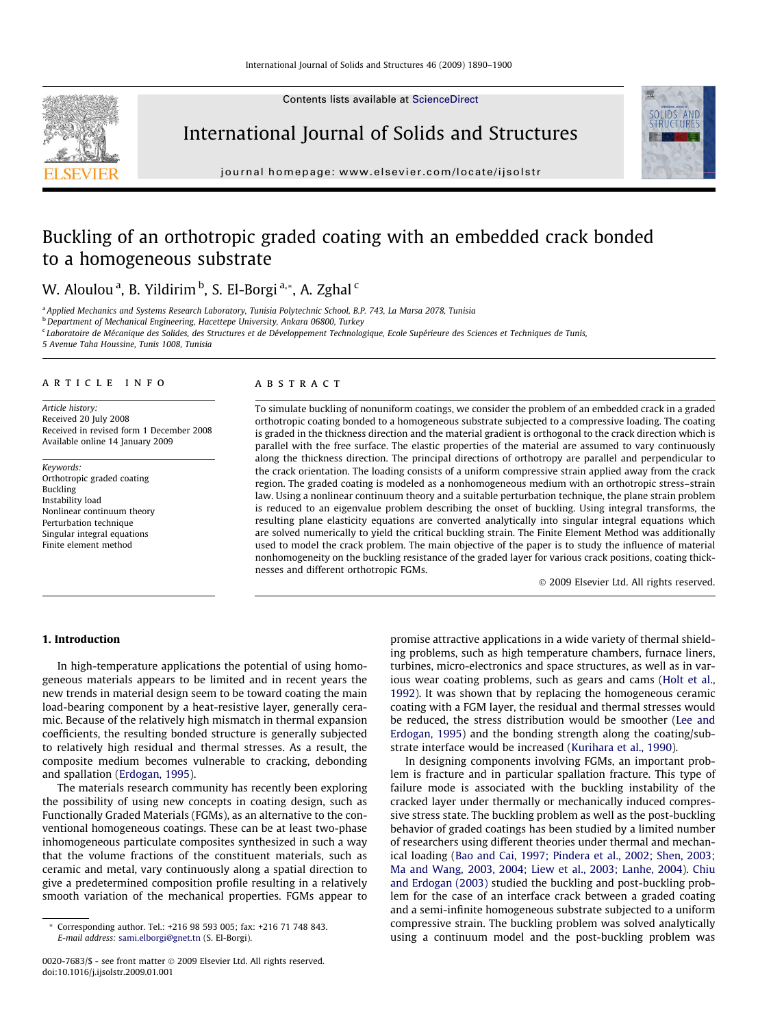Contents lists available at [ScienceDirect](http://www.sciencedirect.com/science/journal/00207683)



International Journal of Solids and Structures



journal homepage: [www.elsevier.com/locate/ijsolstr](http://www.elsevier.com/locate/ijsolstr)

# Buckling of an orthotropic graded coating with an embedded crack bonded to a homogeneous substrate

W. Aloulou <sup>a</sup>, B. Yildirim <sup>b</sup>, S. El-Borgi <sup>a,</sup>\*, A. Zghal <sup>c</sup>

<sup>a</sup> Applied Mechanics and Systems Research Laboratory, Tunisia Polytechnic School, B.P. 743, La Marsa 2078, Tunisia

b Department of Mechanical Engineering, Hacettepe University, Ankara 06800, Turkey

<sup>c</sup> Laboratoire de Mécanique des Solides, des Structures et de Développement Technologique, Ecole Supérieure des Sciences et Techniques de Tunis,

5 Avenue Taha Houssine, Tunis 1008, Tunisia

## article info

Article history: Received 20 July 2008 Received in revised form 1 December 2008 Available online 14 January 2009

Keywords: Orthotropic graded coating Buckling Instability load Nonlinear continuum theory Perturbation technique Singular integral equations Finite element method

# ABSTRACT

To simulate buckling of nonuniform coatings, we consider the problem of an embedded crack in a graded orthotropic coating bonded to a homogeneous substrate subjected to a compressive loading. The coating is graded in the thickness direction and the material gradient is orthogonal to the crack direction which is parallel with the free surface. The elastic properties of the material are assumed to vary continuously along the thickness direction. The principal directions of orthotropy are parallel and perpendicular to the crack orientation. The loading consists of a uniform compressive strain applied away from the crack region. The graded coating is modeled as a nonhomogeneous medium with an orthotropic stress–strain law. Using a nonlinear continuum theory and a suitable perturbation technique, the plane strain problem is reduced to an eigenvalue problem describing the onset of buckling. Using integral transforms, the resulting plane elasticity equations are converted analytically into singular integral equations which are solved numerically to yield the critical buckling strain. The Finite Element Method was additionally used to model the crack problem. The main objective of the paper is to study the influence of material nonhomogeneity on the buckling resistance of the graded layer for various crack positions, coating thicknesses and different orthotropic FGMs.

- 2009 Elsevier Ltd. All rights reserved.

# 1. Introduction

In high-temperature applications the potential of using homogeneous materials appears to be limited and in recent years the new trends in material design seem to be toward coating the main load-bearing component by a heat-resistive layer, generally ceramic. Because of the relatively high mismatch in thermal expansion coefficients, the resulting bonded structure is generally subjected to relatively high residual and thermal stresses. As a result, the composite medium becomes vulnerable to cracking, debonding and spallation [\(Erdogan, 1995\)](#page-9-0).

The materials research community has recently been exploring the possibility of using new concepts in coating design, such as Functionally Graded Materials (FGMs), as an alternative to the conventional homogeneous coatings. These can be at least two-phase inhomogeneous particulate composites synthesized in such a way that the volume fractions of the constituent materials, such as ceramic and metal, vary continuously along a spatial direction to give a predetermined composition profile resulting in a relatively smooth variation of the mechanical properties. FGMs appear to

promise attractive applications in a wide variety of thermal shielding problems, such as high temperature chambers, furnace liners, turbines, micro-electronics and space structures, as well as in various wear coating problems, such as gears and cams [\(Holt et al.,](#page-9-0) [1992\)](#page-9-0). It was shown that by replacing the homogeneous ceramic coating with a FGM layer, the residual and thermal stresses would be reduced, the stress distribution would be smoother [\(Lee and](#page-9-0) [Erdogan, 1995\)](#page-9-0) and the bonding strength along the coating/substrate interface would be increased ([Kurihara et al., 1990](#page-9-0)).

In designing components involving FGMs, an important problem is fracture and in particular spallation fracture. This type of failure mode is associated with the buckling instability of the cracked layer under thermally or mechanically induced compressive stress state. The buckling problem as well as the post-buckling behavior of graded coatings has been studied by a limited number of researchers using different theories under thermal and mechanical loading ([Bao and Cai, 1997; Pindera et al., 2002; Shen, 2003;](#page-9-0) [Ma and Wang, 2003, 2004; Liew et al., 2003; Lanhe, 2004](#page-9-0)). [Chiu](#page-9-0) [and Erdogan \(2003\)](#page-9-0) studied the buckling and post-buckling problem for the case of an interface crack between a graded coating and a semi-infinite homogeneous substrate subjected to a uniform compressive strain. The buckling problem was solved analytically using a continuum model and the post-buckling problem was

<sup>\*</sup> Corresponding author. Tel.: +216 98 593 005; fax: +216 71 748 843. E-mail address: [sami.elborgi@gnet.tn](mailto:sami.elborgi@gnet.tn) (S. El-Borgi).

<sup>0020-7683/\$ -</sup> see front matter © 2009 Elsevier Ltd. All rights reserved. doi:10.1016/j.ijsolstr.2009.01.001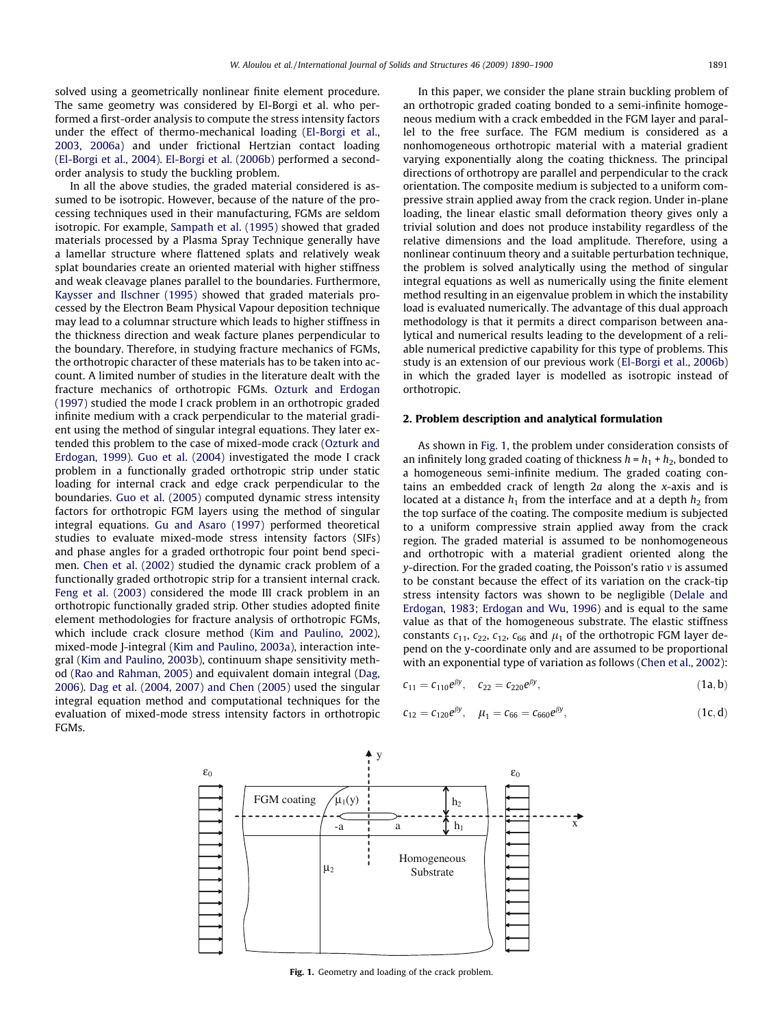<span id="page-1-0"></span>solved using a geometrically nonlinear finite element procedure. The same geometry was considered by El-Borgi et al. who performed a first-order analysis to compute the stress intensity factors under the effect of thermo-mechanical loading ([El-Borgi et al.,](#page-9-0) [2003, 2006a\)](#page-9-0) and under frictional Hertzian contact loading ([El-Borgi et al., 2004\). El-Borgi et al. \(2006b\)](#page-9-0) performed a secondorder analysis to study the buckling problem.

In all the above studies, the graded material considered is assumed to be isotropic. However, because of the nature of the processing techniques used in their manufacturing, FGMs are seldom isotropic. For example, [Sampath et al. \(1995\)](#page-10-0) showed that graded materials processed by a Plasma Spray Technique generally have a lamellar structure where flattened splats and relatively weak splat boundaries create an oriented material with higher stiffness and weak cleavage planes parallel to the boundaries. Furthermore, [Kaysser and Ilschner \(1995\)](#page-9-0) showed that graded materials processed by the Electron Beam Physical Vapour deposition technique may lead to a columnar structure which leads to higher stiffness in the thickness direction and weak facture planes perpendicular to the boundary. Therefore, in studying fracture mechanics of FGMs, the orthotropic character of these materials has to be taken into account. A limited number of studies in the literature dealt with the fracture mechanics of orthotropic FGMs. [Ozturk and Erdogan](#page-10-0) [\(1997\)](#page-10-0) studied the mode I crack problem in an orthotropic graded infinite medium with a crack perpendicular to the material gradient using the method of singular integral equations. They later extended this problem to the case of mixed-mode crack [\(Ozturk and](#page-10-0) [Erdogan, 1999](#page-10-0)). [Guo et al. \(2004\)](#page-9-0) investigated the mode I crack problem in a functionally graded orthotropic strip under static loading for internal crack and edge crack perpendicular to the boundaries. [Guo et al. \(2005\)](#page-9-0) computed dynamic stress intensity factors for orthotropic FGM layers using the method of singular integral equations. [Gu and Asaro \(1997\)](#page-9-0) performed theoretical studies to evaluate mixed-mode stress intensity factors (SIFs) and phase angles for a graded orthotropic four point bend specimen. [Chen et al. \(2002\)](#page-9-0) studied the dynamic crack problem of a functionally graded orthotropic strip for a transient internal crack. [Feng et al. \(2003\)](#page-9-0) considered the mode III crack problem in an orthotropic functionally graded strip. Other studies adopted finite element methodologies for fracture analysis of orthotropic FGMs, which include crack closure method [\(Kim and Paulino, 2002\)](#page-9-0), mixed-mode J-integral [\(Kim and Paulino, 2003a](#page-9-0)), interaction integral ([Kim and Paulino, 2003b](#page-9-0)), continuum shape sensitivity method ([Rao and Rahman, 2005\)](#page-10-0) and equivalent domain integral [\(Dag,](#page-9-0) [2006](#page-9-0)). [Dag et al. \(2004, 2007\) and Chen \(2005\)](#page-9-0) used the singular integral equation method and computational techniques for the evaluation of mixed-mode stress intensity factors in orthotropic FGMs.

In this paper, we consider the plane strain buckling problem of an orthotropic graded coating bonded to a semi-infinite homogeneous medium with a crack embedded in the FGM layer and parallel to the free surface. The FGM medium is considered as a nonhomogeneous orthotropic material with a material gradient varying exponentially along the coating thickness. The principal directions of orthotropy are parallel and perpendicular to the crack orientation. The composite medium is subjected to a uniform compressive strain applied away from the crack region. Under in-plane loading, the linear elastic small deformation theory gives only a trivial solution and does not produce instability regardless of the relative dimensions and the load amplitude. Therefore, using a nonlinear continuum theory and a suitable perturbation technique, the problem is solved analytically using the method of singular integral equations as well as numerically using the finite element method resulting in an eigenvalue problem in which the instability load is evaluated numerically. The advantage of this dual approach methodology is that it permits a direct comparison between analytical and numerical results leading to the development of a reliable numerical predictive capability for this type of problems. This study is an extension of our previous work [\(El-Borgi et al., 2006b\)](#page-9-0) in which the graded layer is modelled as isotropic instead of orthotropic.

#### 2. Problem description and analytical formulation

As shown in Fig. 1, the problem under consideration consists of an infinitely long graded coating of thickness  $h = h_1 + h_2$ , bonded to a homogeneous semi-infinite medium. The graded coating contains an embedded crack of length  $2a$  along the x-axis and is located at a distance  $h_1$  from the interface and at a depth  $h_2$  from the top surface of the coating. The composite medium is subjected to a uniform compressive strain applied away from the crack region. The graded material is assumed to be nonhomogeneous and orthotropic with a material gradient oriented along the  $y$ -direction. For the graded coating, the Poisson's ratio  $v$  is assumed to be constant because the effect of its variation on the crack-tip stress intensity factors was shown to be negligible ([Delale and](#page-9-0) [Erdogan, 1983; Erdogan and Wu, 1996](#page-9-0)) and is equal to the same value as that of the homogeneous substrate. The elastic stiffness constants  $c_{11}$ ,  $c_{22}$ ,  $c_{12}$ ,  $c_{66}$  and  $\mu_1$  of the orthotropic FGM layer depend on the y-coordinate only and are assumed to be proportional with an exponential type of variation as follows [\(Chen et al., 2002\)](#page-9-0):

$$
c_{11} = c_{110}e^{\beta y}, \quad c_{22} = c_{220}e^{\beta y}, \tag{1a, b}
$$

$$
c_{12} = c_{120}e^{\beta y}, \quad \mu_1 = c_{66} = c_{660}e^{\beta y}, \tag{1c,d}
$$



Fig. 1. Geometry and loading of the crack problem.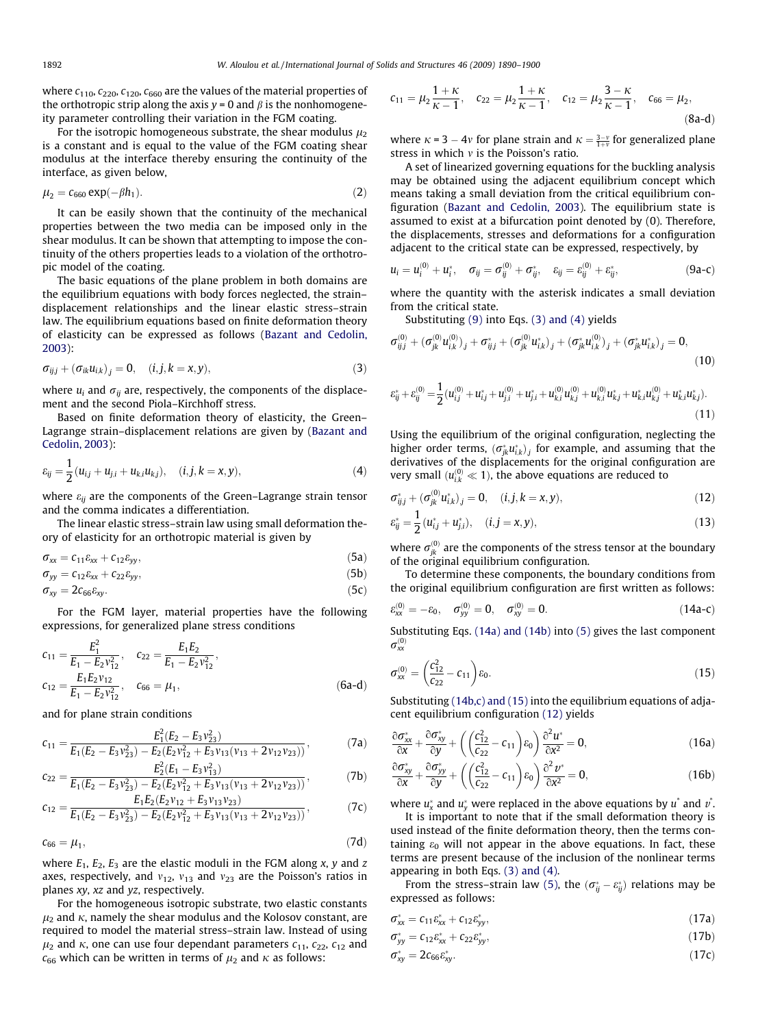<span id="page-2-0"></span>where  $c_{110}$ ,  $c_{220}$ ,  $c_{120}$ ,  $c_{660}$  are the values of the material properties of the orthotropic strip along the axis  $y = 0$  and  $\beta$  is the nonhomogeneity parameter controlling their variation in the FGM coating.

For the isotropic homogeneous substrate, the shear modulus  $\mu_2$ is a constant and is equal to the value of the FGM coating shear modulus at the interface thereby ensuring the continuity of the interface, as given below,

$$
\mu_2 = c_{660} \exp(-\beta h_1). \tag{2}
$$

It can be easily shown that the continuity of the mechanical properties between the two media can be imposed only in the shear modulus. It can be shown that attempting to impose the continuity of the others properties leads to a violation of the orthotropic model of the coating.

The basic equations of the plane problem in both domains are the equilibrium equations with body forces neglected, the strain– displacement relationships and the linear elastic stress–strain law. The equilibrium equations based on finite deformation theory of elasticity can be expressed as follows ([Bazant and Cedolin,](#page-9-0) [2003\)](#page-9-0):

$$
\sigma_{ij,j} + (\sigma_{ik} u_{i,k})_{j} = 0, \quad (i,j,k = x,y), \tag{3}
$$

where  $u_i$  and  $\sigma_{ij}$  are, respectively, the components of the displacement and the second Piola–Kirchhoff stress.

Based on finite deformation theory of elasticity, the Green– Lagrange strain–displacement relations are given by ([Bazant and](#page-9-0) [Cedolin, 2003\)](#page-9-0):

$$
\varepsilon_{ij} = \frac{1}{2} (u_{i,j} + u_{j,i} + u_{k,i} u_{kj}), \quad (i,j,k = x,y),
$$
 (4)

where  $\varepsilon_{ii}$  are the components of the Green–Lagrange strain tensor and the comma indicates a differentiation.

The linear elastic stress–strain law using small deformation theory of elasticity for an orthotropic material is given by

$$
\sigma_{xx} = c_{11}\varepsilon_{xx} + c_{12}\varepsilon_{yy},\tag{5a}
$$

$$
\sigma_{yy} = c_{12}\varepsilon_{xx} + c_{22}\varepsilon_{yy},\tag{5b}
$$

$$
\sigma_{xy} = 2c_{66}\varepsilon_{xy}.\tag{5c}
$$

For the FGM layer, material properties have the following expressions, for generalized plane stress conditions

$$
c_{11} = \frac{E_1^2}{E_1 - E_2 v_{12}^2}, \quad c_{22} = \frac{E_1 E_2}{E_1 - E_2 v_{12}^2},
$$
  
\n
$$
c_{12} = \frac{E_1 E_2 v_{12}}{E_1 - E_2 v_{12}^2}, \quad c_{66} = \mu_1,
$$
  
\n(6a-d)

and for plane strain conditions

$$
c_{11} = \frac{E_1^2 (E_2 - E_3 v_{23}^2)}{E_1 (E_2 - E_3 v_{23}^2) - E_2 (E_2 v_{12}^2 + E_3 v_{13} (v_{13} + 2 v_{12} v_{23}))},
$$
(7a)

$$
c_{22} = \frac{E_2^2 (E_1 - E_3 v_{13}^2)}{E_1 (E_2 - E_3 v_{23}^2) - E_2 (E_2 v_{12}^2 + E_3 v_{13} (v_{13} + 2 v_{12} v_{23}))},
$$
(7b)

$$
c_{12} = \frac{E_1 E_2 (E_2 V_{12} + E_3 V_{13} V_{23})}{E_1 (E_2 - E_3 V_{23}^2) - E_2 (E_2 V_{12}^2 + E_3 V_{13} (V_{13} + 2V_{12} V_{23}))},
$$
(7c)

$$
c_{66} = \mu_1,\tag{7d}
$$

where  $E_1$ ,  $E_2$ ,  $E_3$  are the elastic moduli in the FGM along x, y and z axes, respectively, and  $v_{12}$ ,  $v_{13}$  and  $v_{23}$  are the Poisson's ratios in planes xy, xz and yz, respectively.

For the homogeneous isotropic substrate, two elastic constants  $\mu_2$  and  $\kappa$ , namely the shear modulus and the Kolosov constant, are required to model the material stress–strain law. Instead of using  $\mu_2$  and  $\kappa$ , one can use four dependant parameters  $c_{11}$ ,  $c_{22}$ ,  $c_{12}$  and  $c_{66}$  which can be written in terms of  $\mu_2$  and  $\kappa$  as follows:

$$
c_{11} = \mu_2 \frac{1+\kappa}{\kappa - 1}, \quad c_{22} = \mu_2 \frac{1+\kappa}{\kappa - 1}, \quad c_{12} = \mu_2 \frac{3-\kappa}{\kappa - 1}, \quad c_{66} = \mu_2,
$$
\n(8a-d)

where  $\kappa$  = 3 – 4 $\nu$  for plane strain and  $\kappa = \frac{3-\nu}{1+\nu}$  for generalized plane stress in which  $v$  is the Poisson's ratio.

A set of linearized governing equations for the buckling analysis may be obtained using the adjacent equilibrium concept which means taking a small deviation from the critical equilibrium configuration [\(Bazant and Cedolin, 2003\)](#page-9-0). The equilibrium state is assumed to exist at a bifurcation point denoted by (0). Therefore, the displacements, stresses and deformations for a configuration adjacent to the critical state can be expressed, respectively, by

$$
u_i = u_i^{(0)} + u_i^*, \quad \sigma_{ij} = \sigma_{ij}^{(0)} + \sigma_{ij}^*, \quad \varepsilon_{ij} = \varepsilon_{ij}^{(0)} + \varepsilon_{ij}^*,
$$
 (9a-c)

where the quantity with the asterisk indicates a small deviation from the critical state.

Substituting (9) into Eqs. (3) and (4) yields

$$
\sigma_{ij,j}^{(0)} + (\sigma_{jk}^{(0)} u_{i,k}^{(0)})_j + \sigma_{ij,j}^* + (\sigma_{jk}^{(0)} u_{i,k}^*)_j + (\sigma_{jk}^* u_{i,k}^{(0)})_j + (\sigma_{jk}^* u_{i,k}^*)_j = 0,
$$
\n(10)

$$
\varepsilon_{ij}^* + \varepsilon_{ij}^{(0)} = \frac{1}{2} (u_{ij}^{(0)} + u_{ij}^* + u_{j,i}^{(0)} + u_{j,i}^* + u_{k,i}^{(0)} u_{kj}^{(0)} + u_{k,i}^{(0)} u_{kj}^* + u_{k,i}^* u_{kj}^{(0)} + u_{k,i}^* u_{kj}^*).
$$
\n(11)

Using the equilibrium of the original configuration, neglecting the higher order terms,  $(\sigma_{jk}^* u_{ik}^*)_j$  for example, and assuming that the derivatives of the displacements for the original configuration are very small  $(u_{i,k}^{(0)} \ll 1)$ , the above equations are reduced to

$$
\sigma_{ijj}^* + (\sigma_{jk}^{(0)} u_{i,k}^*)_j = 0, \quad (i,j,k = x,y), \tag{12}
$$

$$
\varepsilon_{ij}^* = \frac{1}{2} (u_{i,j}^* + u_{j,i}^*), \quad (i,j = x, y), \tag{13}
$$

where  $\sigma_{jk}^{(0)}$  are the components of the stress tensor at the boundary of the original equilibrium configuration.

To determine these components, the boundary conditions from the original equilibrium configuration are first written as follows:

$$
\epsilon_{xx}^{(0)} = -\epsilon_0, \quad \sigma_{yy}^{(0)} = 0, \quad \sigma_{xy}^{(0)} = 0.
$$
 (14a-c)

Substituting Eqs. (14a) and (14b) into (5) gives the last component  $\sigma_{xx}^{(0)}$ 

$$
\sigma_{xx}^{(0)} = \left(\frac{c_{12}^2}{c_{22}} - c_{11}\right) \varepsilon_0.
$$
\n(15)

Substituting  $(14b,c)$  and  $(15)$  into the equilibrium equations of adjacent equilibrium configuration (12) yields

$$
\frac{\partial \sigma_{xx}^*}{\partial x} + \frac{\partial \sigma_{xy}^*}{\partial y} + \left( \left( \frac{c_{12}^2}{c_{22}} - c_{11} \right) \epsilon_0 \right) \frac{\partial^2 u^*}{\partial x^2} = 0, \tag{16a}
$$

$$
\frac{\partial \sigma_{xy}^*}{\partial x} + \frac{\partial \sigma_{yy}^*}{\partial y} + \left( \left( \frac{c_{12}^2}{c_{22}} - c_{11} \right) \varepsilon_0 \right) \frac{\partial^2 v^*}{\partial x^2} = 0, \tag{16b}
$$

where  $u_x^*$  and  $u_y^*$  were replaced in the above equations by  $u^*$  and  $v^*$ .

It is important to note that if the small deformation theory is used instead of the finite deformation theory, then the terms containing  $\varepsilon_0$  will not appear in the above equations. In fact, these terms are present because of the inclusion of the nonlinear terms appearing in both Eqs. (3) and (4).

From the stress-strain law (5), the  $(\sigma_{ij}^* - \varepsilon_{ij}^*)$  relations may be expressed as follows:

$$
\sigma_{xx}^* = c_{11} \varepsilon_{xx}^* + c_{12} \varepsilon_{yy}^*, \tag{17a}
$$

$$
\sigma_{yy}^* = c_{12} \varepsilon_{xx}^* + c_{22} \varepsilon_{yy}^*,\tag{17b}
$$

$$
\sigma_{xy}^* = 2c_{66}\varepsilon_{xy}^*.\tag{17c}
$$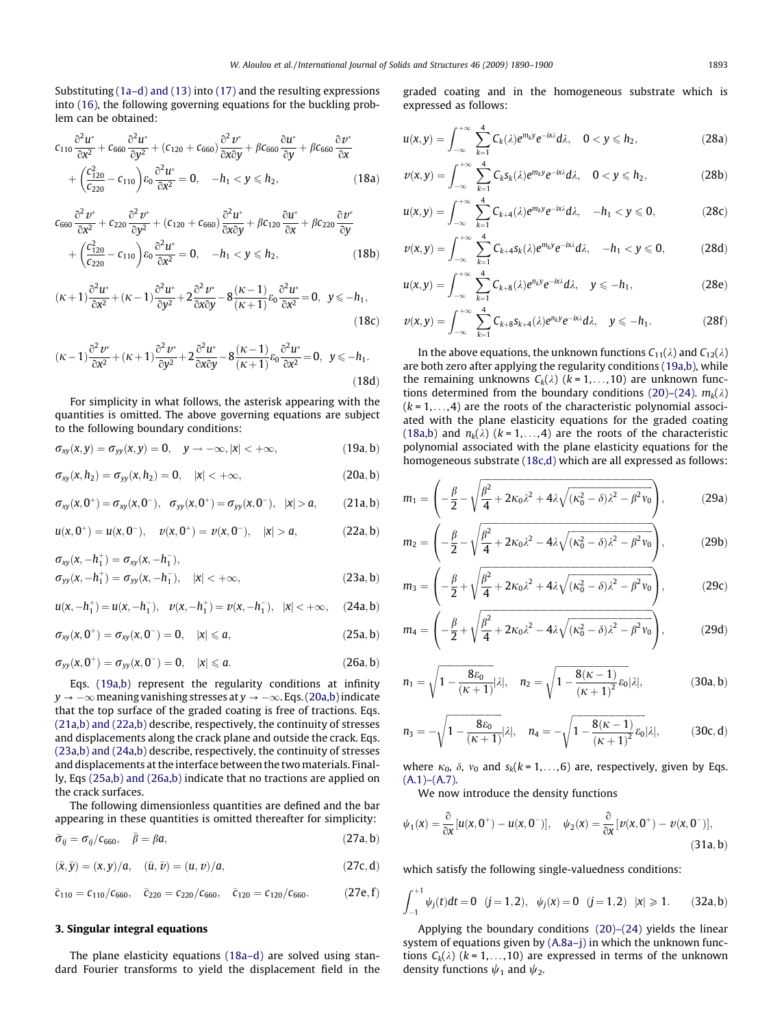<span id="page-3-0"></span>Substituting [\(1a–d\) and \(13\)](#page-1-0) into [\(17\)](#page-2-0) and the resulting expressions into [\(16\)](#page-2-0), the following governing equations for the buckling problem can be obtained:

$$
c_{110} \frac{\partial^2 u^*}{\partial x^2} + c_{660} \frac{\partial^2 u^*}{\partial y^2} + (c_{120} + c_{660}) \frac{\partial^2 v^*}{\partial x \partial y} + \beta c_{660} \frac{\partial u^*}{\partial y} + \beta c_{660} \frac{\partial v^*}{\partial x} + \left(\frac{c_{120}^2}{c_{220}} - c_{110}\right) \varepsilon_0 \frac{\partial^2 u^*}{\partial x^2} = 0, \quad -h_1 < y < h_2,\tag{18a}
$$

$$
c_{660}\frac{\partial^2 v^*}{\partial x^2} + c_{220}\frac{\partial^2 v^*}{\partial y^2} + (c_{120} + c_{660})\frac{\partial^2 u^*}{\partial x \partial y} + \beta c_{120}\frac{\partial u^*}{\partial x} + \beta c_{220}\frac{\partial v^*}{\partial y} + \left(\frac{c_{120}^2}{c_{220}} - c_{110}\right)\varepsilon_0\frac{\partial^2 u^*}{\partial x^2} = 0, \quad -h_1 < y \le h_2,
$$
\n(18b)

$$
(\kappa+1)\frac{\partial^2 u^*}{\partial x^2} + (\kappa-1)\frac{\partial^2 u^*}{\partial y^2} + 2\frac{\partial^2 v^*}{\partial x \partial y} - 8\frac{(\kappa-1)}{(\kappa+1)}\varepsilon_0\frac{\partial^2 u^*}{\partial x^2} = 0, \ \ y \le -h_1,
$$
\n(18c)

$$
(\kappa-1)\frac{\partial^2 v^*}{\partial x^2} + (\kappa+1)\frac{\partial^2 v^*}{\partial y^2} + 2\frac{\partial^2 u^*}{\partial x \partial y} - 8\frac{(\kappa-1)}{(\kappa+1)}\varepsilon_0\frac{\partial^2 u^*}{\partial x^2} = 0, \ \ y \le -h_1. \tag{18d}
$$

For simplicity in what follows, the asterisk appearing with the quantities is omitted. The above governing equations are subject to the following boundary conditions:

$$
\sigma_{xy}(x,y)=\sigma_{yy}(x,y)=0, \quad y\to-\infty, |x|<+\infty,
$$
\n(19a,b)

$$
\sigma_{xy}(x, h_2) = \sigma_{yy}(x, h_2) = 0, \quad |x| < +\infty,
$$
\n(20a, b)

$$
\sigma_{xy}(x,0^+) = \sigma_{xy}(x,0^-), \quad \sigma_{yy}(x,0^+) = \sigma_{yy}(x,0^-), \quad |x| > a, \tag{21a,b}
$$

$$
u(x, 0^+) = u(x, 0^-), \quad v(x, 0^+) = v(x, 0^-), \quad |x| > a,
$$
 (22a, b)

$$
\sigma_{xy}(x, -h_1^+) = \sigma_{xy}(x, -h_1^-),
$$
  
\n
$$
\sigma_{yy}(x, -h_1^+) = \sigma_{yy}(x, -h_1^-), \quad |x| < +\infty,
$$
\n(23a, b)

$$
u(x, -h_1^+) = u(x, -h_1^-), \quad v(x, -h_1^+) = v(x, -h_1^-), \quad |x| < +\infty, \quad (24a, b)
$$

$$
\sigma_{xy}(x,0^+) = \sigma_{xy}(x,0^-) = 0, \quad |x| \leqslant a,\tag{25a,b}
$$

$$
\sigma_{yy}(x,0^+) = \sigma_{yy}(x,0^-) = 0, \quad |x| \leqslant a. \tag{26a,b}
$$

Eqs. (19a,b) represent the regularity conditions at infinity  $y \rightarrow -\infty$  meaning vanishing stresses at  $y \rightarrow -\infty$ . Eqs. (20a,b) indicate that the top surface of the graded coating is free of tractions. Eqs. (21a,b) and (22a,b) describe, respectively, the continuity of stresses and displacements along the crack plane and outside the crack. Eqs. (23a,b) and (24a,b) describe, respectively, the continuity of stresses and displacements at the interface between the two materials. Finally, Eqs (25a,b) and (26a,b) indicate that no tractions are applied on the crack surfaces.

The following dimensionless quantities are defined and the bar appearing in these quantities is omitted thereafter for simplicity:

$$
\bar{\sigma}_{ij} = \sigma_{ij}/c_{660}, \quad \bar{\beta} = \beta a, \tag{27a,b}
$$

$$
(\bar{x}, \bar{y}) = (x, y)/a, \quad (\bar{u}, \bar{v}) = (u, v)/a,
$$
 (27c,d)

$$
\bar{c}_{110}=c_{110}/c_{660}, \quad \bar{c}_{220}=c_{220}/c_{660}, \quad \bar{c}_{120}=c_{120}/c_{660}. \qquad \qquad (27e,f)
$$

# 3. Singular integral equations

The plane elasticity equations (18a–d) are solved using standard Fourier transforms to yield the displacement field in the graded coating and in the homogeneous substrate which is expressed as follows:

$$
u(x,y) = \int_{-\infty}^{+\infty} \sum_{k=1}^{4} C_k(\lambda) e^{m_k y} e^{-ix\lambda} d\lambda, \quad 0 < y \le h_2,
$$
 (28a)

$$
v(x,y)=\int_{-\infty}^{+\infty}\sum_{k=1}^4C_k s_k(\lambda)e^{m_k y}e^{-ix\lambda}d\lambda,\quad 0
$$

$$
u(x,y)=\int_{-\infty}^{+\infty}\sum_{k=1}^4C_{k+4}(\lambda)e^{m_ky}e^{-ix\lambda}d\lambda,\quad -h_1 < y \leqslant 0,\qquad (28c)
$$

$$
\nu(x,y)=\int_{-\infty}^{+\infty}\sum_{k=1}^4C_{k+4}s_k(\lambda)e^{m_ky}e^{-ix\lambda}d\lambda,\quad -h_1
$$

$$
u(x,y) = \int_{-\infty}^{+\infty} \sum_{k=1}^{4} C_{k+8}(\lambda) e^{n_k y} e^{-ix\lambda} d\lambda, \quad y \leq -h_1,
$$
 (28e)

$$
\nu(x,y)=\int_{-\infty}^{+\infty}\sum_{k=1}^4C_{k+8}s_{k+4}(\lambda)e^{n_ky}e^{-ix\lambda}d\lambda,\quad y\leq -h_1.\tag{28f}
$$

In the above equations, the unknown functions  $C_{11}(\lambda)$  and  $C_{12}(\lambda)$ are both zero after applying the regularity conditions (19a,b), while the remaining unknowns  $C_k(\lambda)$  ( $k = 1, \ldots, 10$ ) are unknown functions determined from the boundary conditions (20)–(24).  $m_k(\lambda)$  $(k = 1, \ldots, 4)$  are the roots of the characteristic polynomial associated with the plane elasticity equations for the graded coating (18a,b) and  $n_k(\lambda)$  ( $k = 1, \ldots, 4$ ) are the roots of the characteristic polynomial associated with the plane elasticity equations for the homogeneous substrate (18c,d) which are all expressed as follows:

$$
m_1 = \left(-\frac{\beta}{2} - \sqrt{\frac{\beta^2}{4} + 2\kappa_0\lambda^2 + 4\lambda\sqrt{(\kappa_0^2 - \delta)\lambda^2 - \beta^2 v_0}}\right),\tag{29a}
$$

$$
m_2 = \left(-\frac{\beta}{2} - \sqrt{\frac{\beta^2}{4} + 2\kappa_0 \lambda^2 - 4\lambda \sqrt{(\kappa_0^2 - \delta)\lambda^2 - \beta^2 v_0}}\right),\tag{29b}
$$

$$
m_3 = \left(-\frac{\beta}{2} + \sqrt{\frac{\beta^2}{4} + 2\kappa_0\lambda^2 + 4\lambda\sqrt{(\kappa_0^2 - \delta)\lambda^2 - \beta^2 v_0}}\right),\tag{29c}
$$

$$
m_4 = \left(-\frac{\beta}{2} + \sqrt{\frac{\beta^2}{4} + 2\kappa_0\lambda^2 - 4\lambda\sqrt{(\kappa_0^2 - \delta)\lambda^2 - \beta^2\nu_0}}\right),
$$
 (29d)

$$
n_1 = \sqrt{1 - \frac{8\epsilon_0}{(\kappa + 1)}} |\lambda|, \quad n_2 = \sqrt{1 - \frac{8(\kappa - 1)}{(\kappa + 1)^2} \epsilon_0} |\lambda|,
$$
 (30a, b)

$$
n_3 = -\sqrt{1 - \frac{8\epsilon_0}{(\kappa + 1)}} |\lambda|, \quad n_4 = -\sqrt{1 - \frac{8(\kappa - 1)}{(\kappa + 1)^2} \epsilon_0} |\lambda|,
$$
 (30c, d)

where  $\kappa_0$ ,  $\delta$ ,  $v_0$  and  $s_k(k = 1,...,6)$  are, respectively, given by Eqs.  $(A.1)–(A.7)$ .

We now introduce the density functions

$$
\psi_1(x) = \frac{\partial}{\partial x} [u(x, 0^+) - u(x, 0^-)], \quad \psi_2(x) = \frac{\partial}{\partial x} [v(x, 0^+) - v(x, 0^-)],
$$
\n(31a, b)

which satisfy the following single-valuedness conditions:

$$
\int_{-1}^{+1} \psi_j(t)dt = 0 \quad (j = 1, 2), \quad \psi_j(x) = 0 \quad (j = 1, 2) \quad |x| \ge 1. \tag{32a,b}
$$

Applying the boundary conditions (20)–(24) yields the linear system of equations given by [\(A.8a–j\)](#page-8-0) in which the unknown functions  $C_k(\lambda)$  ( $k = 1, \ldots, 10$ ) are expressed in terms of the unknown density functions  $\psi_1$  and  $\psi_2$ .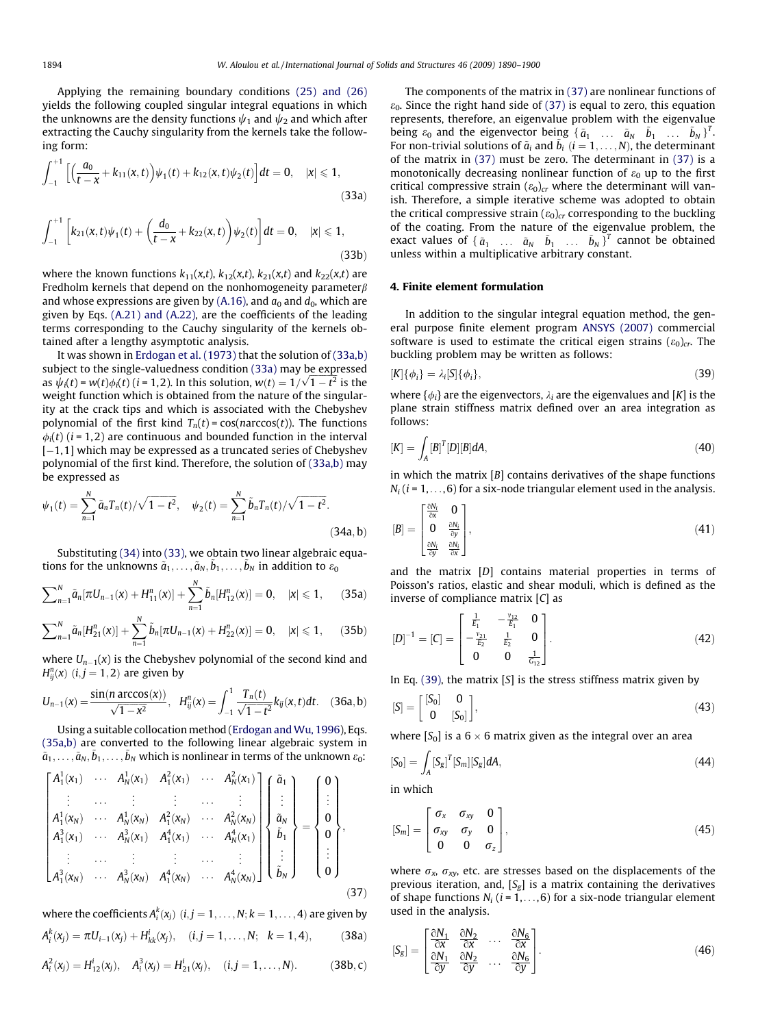<span id="page-4-0"></span>Applying the remaining boundary conditions [\(25\) and \(26\)](#page-3-0) yields the following coupled singular integral equations in which the unknowns are the density functions  $\psi_1$  and  $\psi_2$  and which after extracting the Cauchy singularity from the kernels take the following form:

$$
\int_{-1}^{+1} \Big[ \Big( \frac{a_0}{t - x} + k_{11}(x, t) \Big) \psi_1(t) + k_{12}(x, t) \psi_2(t) \Big] dt = 0, \quad |x| \leq 1,
$$
\n(33a)

$$
\int_{-1}^{+1} \left[ k_{21}(x,t)\psi_1(t) + \left( \frac{d_0}{t - x} + k_{22}(x,t) \right) \psi_2(t) \right] dt = 0, \quad |x| \leq 1,
$$
\n(33b)

where the known functions  $k_{11}(x,t)$ ,  $k_{12}(x,t)$ ,  $k_{21}(x,t)$  and  $k_{22}(x,t)$  are Fredholm kernels that depend on the nonhomogeneity parameter $\beta$ and whose expressions are given by [\(A.16\)](#page-8-0), and  $a_0$  and  $d_0$ , which are given by Eqs. (A.21) and (A.22), are the coefficients of the leading terms corresponding to the Cauchy singularity of the kernels obtained after a lengthy asymptotic analysis.

It was shown in [Erdogan et al. \(1973\)](#page-9-0) that the solution of (33a,b) subject to the single-valuedness condition (33a) may be expressed subject to the single-valuedness condition (33d) hay be expressed<br>as  $\psi_i(t) = w(t)\phi_i(t)$  (i = 1,2). In this solution,  $w(t) = 1/\sqrt{1-t^2}$  is the weight function which is obtained from the nature of the singularity at the crack tips and which is associated with the Chebyshev polynomial of the first kind  $T_n(t) = \cos(n \arccos(t))$ . The functions  $\phi_i(t)$  (*i* = 1,2) are continuous and bounded function in the interval [-1,1] which may be expressed as a truncated series of Chebyshev polynomial of the first kind. Therefore, the solution of (33a,b) may be expressed as

$$
\psi_1(t) = \sum_{n=1}^{N} \tilde{a}_n T_n(t) / \sqrt{1 - t^2}, \quad \psi_2(t) = \sum_{n=1}^{N} \tilde{b}_n T_n(t) / \sqrt{1 - t^2}.
$$
\n(34a, b)

Substituting (34) into (33), we obtain two linear algebraic equations for the unknowns  $\tilde{a}_1, \ldots, \tilde{a}_N, \tilde{b}_1, \ldots, \tilde{b}_N$  in addition to  $\varepsilon_0$ 

$$
\sum_{n=1}^{N} \tilde{a}_n[\pi U_{n-1}(x) + H_{11}^n(x)] + \sum_{n=1}^{N} \tilde{b}_n[H_{12}^n(x)] = 0, \quad |x| \leq 1, \quad (35a)
$$

$$
\sum\nolimits_{n=1}^N \tilde{a}_n[H_{21}^n(x)] + \sum_{n=1}^N \tilde{b}_n[\pi U_{n-1}(x) + H_{22}^n(x)] = 0, \quad |x| \leq 1, \quad (35b)
$$

where  $U_{n-1}(x)$  is the Chebyshev polynomial of the second kind and  $H_{ij}^n(x)$   $(i,j = 1,2)$  are given by

$$
U_{n-1}(x) = \frac{\sin(n \arccos(x))}{\sqrt{1-x^2}}, \quad H_{ij}^n(x) = \int_{-1}^1 \frac{T_n(t)}{\sqrt{1-t^2}} k_{ij}(x, t) dt. \quad (36a, b)
$$

Using a suitable collocation method (Erdogan and Wu, 1996), Eqs. (35a,b) are converted to the following linear algebraic system in  $\tilde{a}_1,\ldots,\tilde{a}_N,\tilde{b}_1,\ldots,\tilde{b}_N$  which is nonlinear in terms of the unknown  $\varepsilon_0$ :

$$
\begin{bmatrix} A_1^1(x_1) & \cdots & A_N^1(x_1) & A_1^2(x_1) & \cdots & A_N^2(x_1) \\ \vdots & \cdots & \vdots & \vdots & \cdots & \vdots \\ A_1^1(x_N) & \cdots & A_N^1(x_N) & A_1^2(x_N) & \cdots & A_N^2(x_N) \\ A_1^3(x_1) & \cdots & A_1^3(x_1) & A_1^4(x_1) & \cdots & A_N^4(x_1) \\ \vdots & \cdots & \vdots & \vdots & \cdots & \vdots \\ A_1^3(x_N) & \cdots & A_N^3(x_N) & A_1^4(x_N) & \cdots & A_N^4(x_N) \end{bmatrix} \begin{bmatrix} \tilde{a}_1 \\ \vdots \\ \tilde{a}_N \\ \tilde{b}_1 \\ \vdots \\ \tilde{b}_N \end{bmatrix} = \begin{bmatrix} 0 \\ \vdots \\ 0 \\ 0 \\ \vdots \\ 0 \end{bmatrix},
$$
\n(37)

where the coefficients  $A_i^k(\mathsf{x}_j)\,\, (i,j=1,\ldots,N; k=1,\ldots,4)$  are given by

$$
A_i^k(x_j) = \pi U_{i-1}(x_j) + H_{kk}^i(x_j), \quad (i,j = 1, \ldots, N; \quad k = 1, 4), \tag{38a}
$$

$$
A_i^2(x_j) = H_{12}^i(x_j), \quad A_i^3(x_j) = H_{21}^i(x_j), \quad (i, j = 1, \dots, N). \tag{38b, c}
$$

The components of the matrix in (37) are nonlinear functions of  $\varepsilon_0$ . Since the right hand side of (37) is equal to zero, this equation represents, therefore, an eigenvalue problem with the eigenvalue being  $\varepsilon_0$  and the eigenvector being  $\{\tilde{a}_1 \dots \tilde{a}_N \}^{\tilde{b}_1} \dots \tilde{b}_N \}^{\tilde{b}_N}$ For non-trivial solutions of  $\tilde{a}_i$  and  $\tilde{b}_i$  ( $i = 1, \ldots, N$ ), the determinant of the matrix in (37) must be zero. The determinant in (37) is a monotonically decreasing nonlinear function of  $\varepsilon_0$  up to the first critical compressive strain  $(\varepsilon_0)_{cr}$  where the determinant will vanish. Therefore, a simple iterative scheme was adopted to obtain the critical compressive strain  $(\varepsilon_0)_{cr}$  corresponding to the buckling of the coating. From the nature of the eigenvalue problem, the exact values of  $\{\tilde{a}_1 \dots \tilde{a}_N \mid \tilde{b}_1 \dots \tilde{b}_N \}^T$  cannot be obtained unless within a multiplicative arbitrary constant.

## 4. Finite element formulation

In addition to the singular integral equation method, the general purpose finite element program [ANSYS \(2007\)](#page-9-0) commercial software is used to estimate the critical eigen strains  $(\varepsilon_0)_{cr}$ . The buckling problem may be written as follows:

$$
[K]\{\phi_i\} = \lambda_i[S]\{\phi_i\},\tag{39}
$$

where  $\{\phi_i\}$  are the eigenvectors,  $\lambda_i$  are the eigenvalues and [K] is the plane strain stiffness matrix defined over an area integration as follows:

$$
[K] = \int_{A} [B]^T [D][B] dA, \qquad (40)
$$

in which the matrix [B] contains derivatives of the shape functions  $N_i$  ( $i = 1, \ldots, 6$ ) for a six-node triangular element used in the analysis.

$$
[B] = \begin{bmatrix} \frac{\partial N_i}{\partial x} & \mathbf{0} \\ \mathbf{0} & \frac{\partial N_i}{\partial y} \\ \frac{\partial N_i}{\partial y} & \frac{\partial N_i}{\partial x} \end{bmatrix},\tag{41}
$$

and the matrix [D] contains material properties in terms of Poisson's ratios, elastic and shear moduli, which is defined as the inverse of compliance matrix  $[C]$  as

$$
[D]^{-1} = [C] = \begin{bmatrix} \frac{1}{E_1} & -\frac{v_{12}}{E_1} & 0\\ -\frac{v_{21}}{E_2} & \frac{1}{E_2} & 0\\ 0 & 0 & \frac{1}{G_{12}} \end{bmatrix} . \tag{42}
$$

In Eq.  $(39)$ , the matrix  $[S]$  is the stress stiffness matrix given by

$$
[S] = \begin{bmatrix} [S_0] & 0 \\ 0 & [S_0] \end{bmatrix},\tag{43}
$$

where  $[S_0]$  is a  $6 \times 6$  matrix given as the integral over an area

$$
[S_0] = \int_A [S_g]^T [S_m] [S_g] dA,
$$
\n(44)

in which

$$
[S_m] = \begin{bmatrix} \sigma_x & \sigma_{xy} & 0 \\ \sigma_{xy} & \sigma_y & 0 \\ 0 & 0 & \sigma_z \end{bmatrix},
$$
 (45)

where  $\sigma_x$ ,  $\sigma_{xy}$ , etc. are stresses based on the displacements of the previous iteration, and,  $[S_g]$  is a matrix containing the derivatives of shape functions  $N_i$  ( $i = 1, \ldots, 6$ ) for a six-node triangular element used in the analysis.

$$
[S_g] = \begin{bmatrix} \frac{\partial N_1}{\partial x} & \frac{\partial N_2}{\partial x} & \cdots & \frac{\partial N_6}{\partial x} \\ \frac{\partial N_1}{\partial y} & \frac{\partial N_2}{\partial y} & \cdots & \frac{\partial N_6}{\partial y} \end{bmatrix}.
$$
 (46)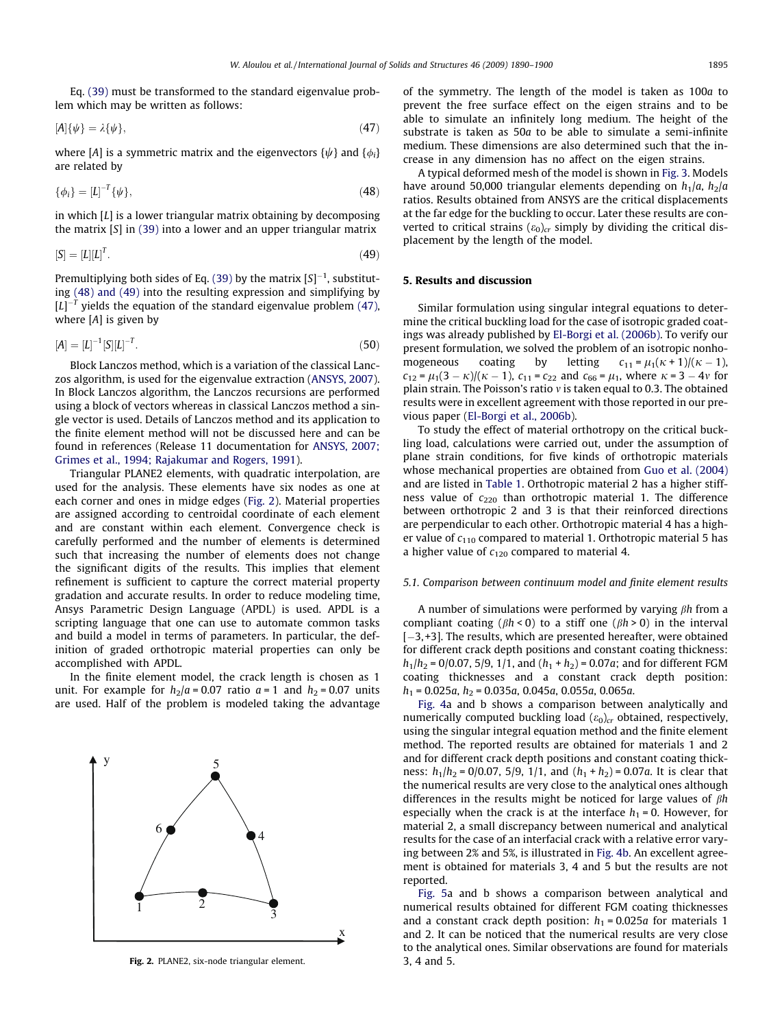Eq. [\(39\)](#page-4-0) must be transformed to the standard eigenvalue problem which may be written as follows:

$$
[A]\{\psi\} = \lambda\{\psi\},\tag{47}
$$

where [A] is a symmetric matrix and the eigenvectors  $\{\psi\}$  and  $\{\phi_i\}$ are related by

$$
\{\phi_i\} = [L]^{-T} \{\psi\},\tag{48}
$$

in which [L] is a lower triangular matrix obtaining by decomposing the matrix [S] in [\(39\)](#page-4-0) into a lower and an upper triangular matrix

$$
[\mathbf{S}] = [L][L]^T. \tag{49}
$$

Premultiplying both sides of Eq. [\(39\)](#page-4-0) by the matrix  $[S]^{-1}$ , substituting (48) and (49) into the resulting expression and simplifying by  $[L]$ <sup>-T</sup> yields the equation of the standard eigenvalue problem (47), where [A] is given by

$$
[A] = [L]^{-1} [S][L]^{-T}.
$$
\n(50)

Block Lanczos method, which is a variation of the classical Lanczos algorithm, is used for the eigenvalue extraction ([ANSYS, 2007\)](#page-9-0). In Block Lanczos algorithm, the Lanczos recursions are performed using a block of vectors whereas in classical Lanczos method a single vector is used. Details of Lanczos method and its application to the finite element method will not be discussed here and can be found in references (Release 11 documentation for [ANSYS, 2007;](#page-9-0) [Grimes et al., 1994; Rajakumar and Rogers, 1991\)](#page-9-0).

Triangular PLANE2 elements, with quadratic interpolation, are used for the analysis. These elements have six nodes as one at each corner and ones in midge edges (Fig. 2). Material properties are assigned according to centroidal coordinate of each element and are constant within each element. Convergence check is carefully performed and the number of elements is determined such that increasing the number of elements does not change the significant digits of the results. This implies that element refinement is sufficient to capture the correct material property gradation and accurate results. In order to reduce modeling time, Ansys Parametric Design Language (APDL) is used. APDL is a scripting language that one can use to automate common tasks and build a model in terms of parameters. In particular, the definition of graded orthotropic material properties can only be accomplished with APDL.

In the finite element model, the crack length is chosen as 1 unit. For example for  $h_2/a = 0.07$  ratio  $a = 1$  and  $h_2 = 0.07$  units are used. Half of the problem is modeled taking the advantage



Fig. 2. PLANE2, six-node triangular element.

of the symmetry. The length of the model is taken as 100a to prevent the free surface effect on the eigen strains and to be able to simulate an infinitely long medium. The height of the substrate is taken as 50a to be able to simulate a semi-infinite medium. These dimensions are also determined such that the increase in any dimension has no affect on the eigen strains.

A typical deformed mesh of the model is shown in [Fig. 3](#page-6-0). Models have around 50,000 triangular elements depending on  $h_1/a$ ,  $h_2/a$ ratios. Results obtained from ANSYS are the critical displacements at the far edge for the buckling to occur. Later these results are converted to critical strains  $(\varepsilon_0)_{cr}$  simply by dividing the critical displacement by the length of the model.

## 5. Results and discussion

Similar formulation using singular integral equations to determine the critical buckling load for the case of isotropic graded coatings was already published by [El-Borgi et al. \(2006b\)](#page-9-0). To verify our present formulation, we solved the problem of an isotropic nonhomogeneous coating by letting  $c_{11} = \mu_1(\kappa + 1)/(\kappa - 1)$ ,  $c_{12} = \mu_1(3 - \kappa)/(\kappa - 1)$ ,  $c_{11} = c_{22}$  and  $c_{66} = \mu_1$ , where  $\kappa = 3 - 4\nu$  for plain strain. The Poisson's ratio  $v$  is taken equal to 0.3. The obtained results were in excellent agreement with those reported in our previous paper [\(El-Borgi et al., 2006b](#page-9-0)).

To study the effect of material orthotropy on the critical buckling load, calculations were carried out, under the assumption of plane strain conditions, for five kinds of orthotropic materials whose mechanical properties are obtained from [Guo et al. \(2004\)](#page-9-0) and are listed in [Table 1](#page-6-0). Orthotropic material 2 has a higher stiffness value of  $c_{220}$  than orthotropic material 1. The difference between orthotropic 2 and 3 is that their reinforced directions are perpendicular to each other. Orthotropic material 4 has a higher value of  $c_{110}$  compared to material 1. Orthotropic material 5 has a higher value of  $c_{120}$  compared to material 4.

#### 5.1. Comparison between continuum model and finite element results

A number of simulations were performed by varying  $\beta h$  from a compliant coating ( $\beta h < 0$ ) to a stiff one ( $\beta h > 0$ ) in the interval [-3, +3]. The results, which are presented hereafter, were obtained for different crack depth positions and constant coating thickness:  $h_1/h_2 = 0/0.07$ , 5/9, 1/1, and  $(h_1 + h_2) = 0.07a$ ; and for different FGM coating thicknesses and a constant crack depth position:  $h_1$  = 0.025a,  $h_2$  = 0.035a, 0.045a, 0.055a, 0.065a.

[Fig. 4a](#page-6-0) and b shows a comparison between analytically and numerically computed buckling load  $(\varepsilon_0)_{cr}$  obtained, respectively, using the singular integral equation method and the finite element method. The reported results are obtained for materials 1 and 2 and for different crack depth positions and constant coating thickness:  $h_1/h_2 = 0/0.07$ , 5/9, 1/1, and  $(h_1 + h_2) = 0.07a$ . It is clear that the numerical results are very close to the analytical ones although differences in the results might be noticed for large values of  $\beta h$ especially when the crack is at the interface  $h_1 = 0$ . However, for material 2, a small discrepancy between numerical and analytical results for the case of an interfacial crack with a relative error varying between 2% and 5%, is illustrated in [Fig. 4b.](#page-6-0) An excellent agreement is obtained for materials 3, 4 and 5 but the results are not reported.

[Fig. 5a](#page-6-0) and b shows a comparison between analytical and numerical results obtained for different FGM coating thicknesses and a constant crack depth position:  $h_1 = 0.025a$  for materials 1 and 2. It can be noticed that the numerical results are very close to the analytical ones. Similar observations are found for materials 3, 4 and 5.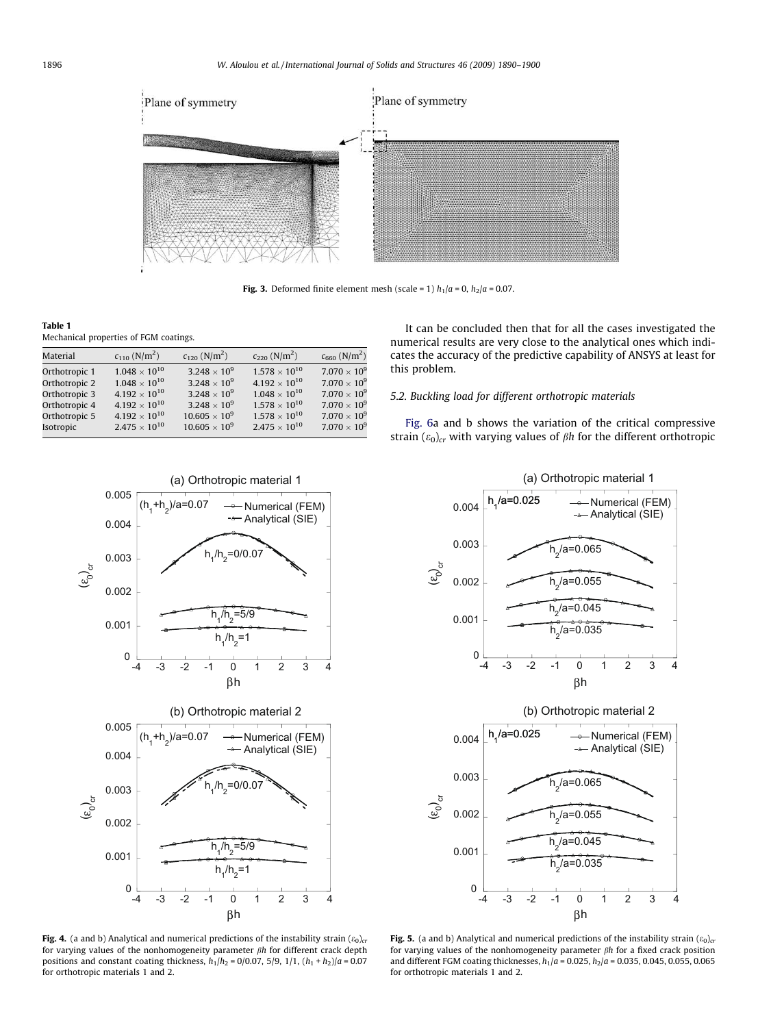<span id="page-6-0"></span>

Fig. 3. Deformed finite element mesh (scale = 1)  $h_1/a = 0$ ,  $h_2/a = 0.07$ .

Table 1

Mechanical properties of FGM coatings.

0.005

| Material      | $c_{110}$ (N/m <sup>2</sup> ) | $c_{120}$ (N/m <sup>2</sup> ) | $c_{220}$ (N/m <sup>2</sup> ) | $c_{660}$ (N/m <sup>2</sup> ) |
|---------------|-------------------------------|-------------------------------|-------------------------------|-------------------------------|
| Orthotropic 1 | $1.048 \times 10^{10}$        | $3.248 \times 10^{9}$         | $1.578 \times 10^{10}$        | $7.070 \times 10^{9}$         |
| Orthotropic 2 | $1.048 \times 10^{10}$        | $3.248 \times 10^{9}$         | $4.192 \times 10^{10}$        | $7.070 \times 10^{9}$         |
| Orthotropic 3 | $4.192 \times 10^{10}$        | $3.248 \times 10^{9}$         | $1.048 \times 10^{10}$        | $7.070 \times 10^{9}$         |
| Orthotropic 4 | $4.192 \times 10^{10}$        | $3.248 \times 10^{9}$         | $1.578 \times 10^{10}$        | $7.070 \times 10^{9}$         |
| Orthotropic 5 | $4.192 \times 10^{10}$        | $10.605 \times 10^{9}$        | $1.578 \times 10^{10}$        | $7.070 \times 10^{9}$         |
| Isotropic     | $2.475 \times 10^{10}$        | $10.605 \times 10^{9}$        | $2.475 \times 10^{10}$        | $7.070 \times 10^{9}$         |
|               |                               |                               |                               |                               |

 $(h_1 + h_2)/a = 0.07$ 

(a) Orthotropic material 1

Numerical (FEM)

It can be concluded then that for all the cases investigated the numerical results are very close to the analytical ones which indicates the accuracy of the predictive capability of ANSYS at least for this problem.

# 5.2. Buckling load for different orthotropic materials

[Fig. 6a](#page-7-0) and b shows the variation of the critical compressive strain  $(\varepsilon_0)_{cr}$  with varying values of  $\beta h$  for the different orthotropic









**Fig. 4.** (a and b) Analytical and numerical predictions of the instability strain  $(\epsilon_0)_{cr}$ for varying values of the nonhomogeneity parameter  $\beta h$  for different crack depth positions and constant coating thickness,  $h_1/h_2 = 0/0.07$ , 5/9, 1/1,  $(h_1 + h_2)/a = 0.07$ for orthotropic materials 1 and 2.

Fig. 5. (a and b) Analytical and numerical predictions of the instability strain  $(\varepsilon_0)_{cr}$ for varying values of the nonhomogeneity parameter  $\beta h$  for a fixed crack position and different FGM coating thicknesses,  $h_1/a = 0.025$ ,  $h_2/a = 0.035$ , 0.045, 0.055, 0.065 for orthotropic materials 1 and 2.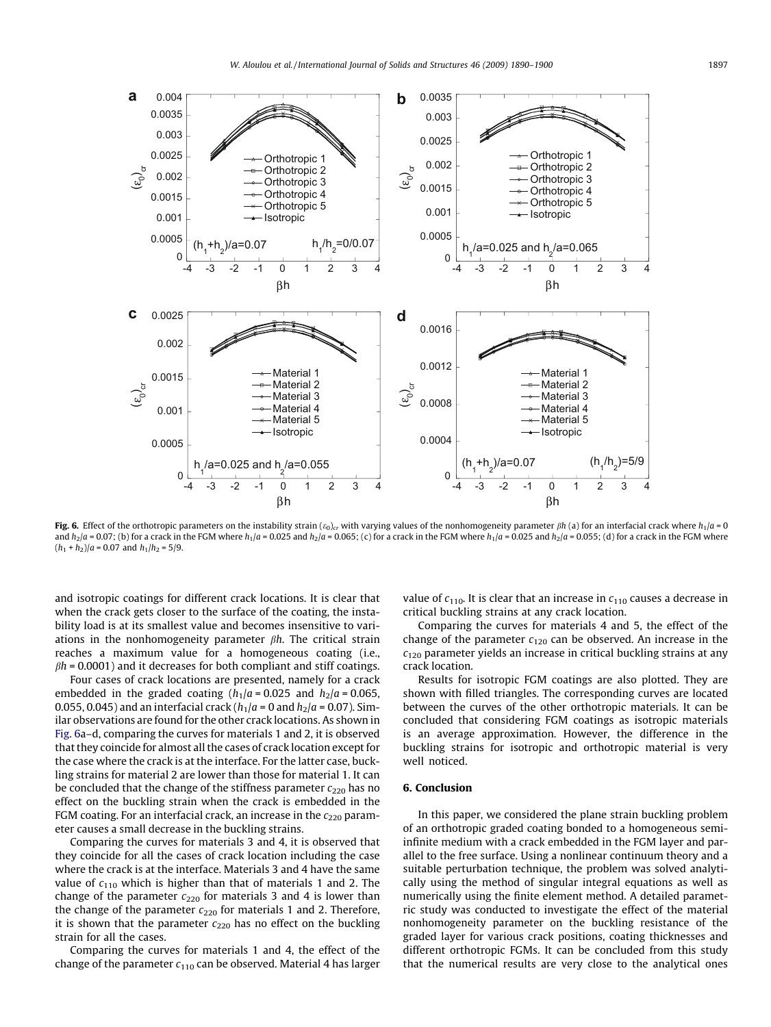<span id="page-7-0"></span>

Fig. 6. Effect of the orthotropic parameters on the instability strain  $(\varepsilon_0)_{cr}$  with varying values of the nonhomogeneity parameter  $\beta h$  (a) for an interfacial crack where  $h_1/a = 0$ and  $h_2/a = 0.07$ ; (b) for a crack in the FGM where  $h_1/a = 0.025$  and  $h_2/a = 0.065$ ; (c) for a crack in the FGM where  $h_1/a = 0.025$  and  $h_2/a = 0.055$ ; (d) for a crack in the FGM where  $(h_1 + h_2)/a = 0.07$  and  $h_1/h_2 = 5/9$ .

and isotropic coatings for different crack locations. It is clear that when the crack gets closer to the surface of the coating, the instability load is at its smallest value and becomes insensitive to variations in the nonhomogeneity parameter  $\beta h$ . The critical strain reaches a maximum value for a homogeneous coating (i.e.,  $\beta h = 0.0001$ ) and it decreases for both compliant and stiff coatings.

Four cases of crack locations are presented, namely for a crack embedded in the graded coating  $(h_1/a = 0.025$  and  $h_2/a = 0.065$ , 0.055, 0.045) and an interfacial crack ( $h_1/a = 0$  and  $h_2/a = 0.07$ ). Similar observations are found for the other crack locations. As shown in Fig. 6a–d, comparing the curves for materials 1 and 2, it is observed that they coincide for almost all the cases of crack location except for the case where the crack is at the interface. For the latter case, buckling strains for material 2 are lower than those for material 1. It can be concluded that the change of the stiffness parameter  $c_{220}$  has no effect on the buckling strain when the crack is embedded in the FGM coating. For an interfacial crack, an increase in the  $c_{220}$  parameter causes a small decrease in the buckling strains.

Comparing the curves for materials 3 and 4, it is observed that they coincide for all the cases of crack location including the case where the crack is at the interface. Materials 3 and 4 have the same value of  $c_{110}$  which is higher than that of materials 1 and 2. The change of the parameter  $c_{220}$  for materials 3 and 4 is lower than the change of the parameter  $c_{220}$  for materials 1 and 2. Therefore, it is shown that the parameter  $c_{220}$  has no effect on the buckling strain for all the cases.

Comparing the curves for materials 1 and 4, the effect of the change of the parameter  $c_{110}$  can be observed. Material 4 has larger value of  $c_{110}$ . It is clear that an increase in  $c_{110}$  causes a decrease in critical buckling strains at any crack location.

Comparing the curves for materials 4 and 5, the effect of the change of the parameter  $c_{120}$  can be observed. An increase in the  $c_{120}$  parameter yields an increase in critical buckling strains at any crack location.

Results for isotropic FGM coatings are also plotted. They are shown with filled triangles. The corresponding curves are located between the curves of the other orthotropic materials. It can be concluded that considering FGM coatings as isotropic materials is an average approximation. However, the difference in the buckling strains for isotropic and orthotropic material is very well noticed.

#### 6. Conclusion

In this paper, we considered the plane strain buckling problem of an orthotropic graded coating bonded to a homogeneous semiinfinite medium with a crack embedded in the FGM layer and parallel to the free surface. Using a nonlinear continuum theory and a suitable perturbation technique, the problem was solved analytically using the method of singular integral equations as well as numerically using the finite element method. A detailed parametric study was conducted to investigate the effect of the material nonhomogeneity parameter on the buckling resistance of the graded layer for various crack positions, coating thicknesses and different orthotropic FGMs. It can be concluded from this study that the numerical results are very close to the analytical ones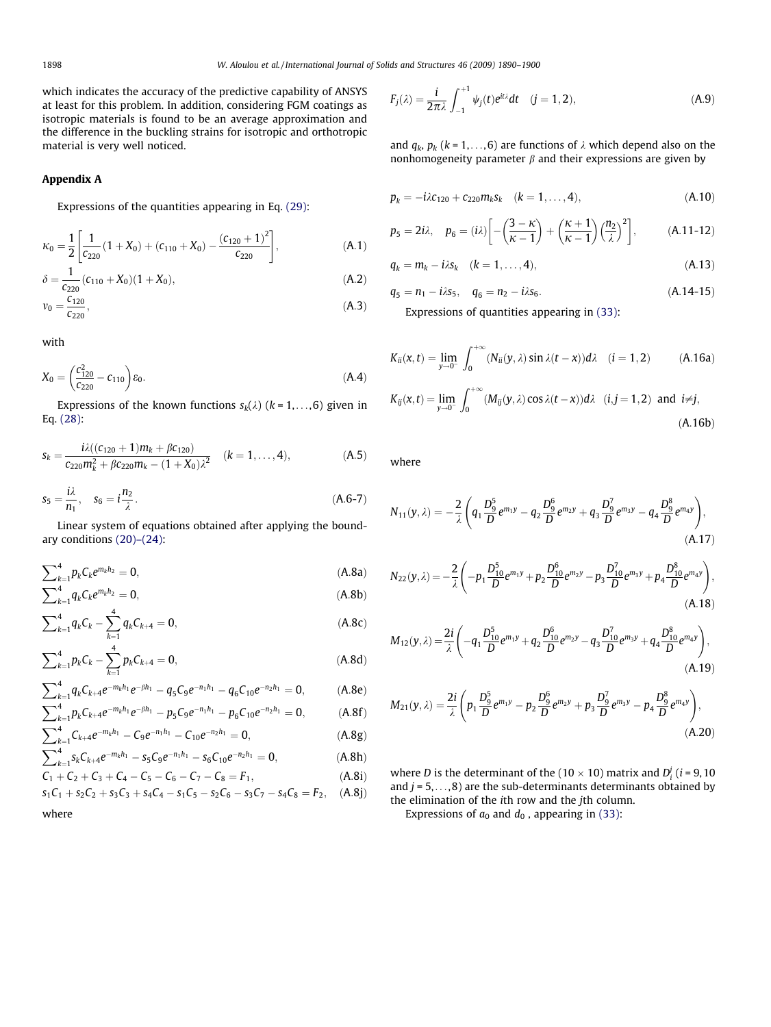<span id="page-8-0"></span>which indicates the accuracy of the predictive capability of ANSYS at least for this problem. In addition, considering FGM coatings as isotropic materials is found to be an average approximation and the difference in the buckling strains for isotropic and orthotropic material is very well noticed.

# Appendix A

Expressions of the quantities appearing in Eq. [\(29\):](#page-3-0)

$$
\kappa_0 = \frac{1}{2} \left[ \frac{1}{c_{220}} (1 + X_0) + (c_{110} + X_0) - \frac{(c_{120} + 1)^2}{c_{220}} \right],\tag{A.1}
$$

$$
\delta = \frac{1}{c_{220}} (c_{110} + X_0)(1 + X_0),
$$
\n(A.2)

$$
v_0 = \frac{c_{120}}{c_{220}},\tag{A.3}
$$

with

$$
X_0 = \left(\frac{c_{120}^2}{c_{220}} - c_{110}\right) \varepsilon_0.
$$
 (A.4)

Expressions of the known functions  $s_k(\lambda)$  ( $k = 1, \ldots, 6$ ) given in Eq. [\(28\)](#page-3-0):

$$
s_k = \frac{i\lambda((c_{120} + 1)m_k + \beta c_{120})}{c_{220}m_k^2 + \beta c_{220}m_k - (1 + X_0)\lambda^2} \quad (k = 1, ..., 4),
$$
 (A.5)

$$
s_5 = \frac{i\lambda}{n_1}, \quad s_6 = i\frac{n_2}{\lambda}.\tag{A.6-7}
$$

Linear system of equations obtained after applying the boundary conditions [\(20\)–\(24\)](#page-3-0):

$$
\sum_{k=1}^{4} p_k C_k e^{m_k h_2} = 0,
$$
\n(A.8a)\n
$$
\sum_{k=1}^{4} c_k C_k e^{m_k h_2} = 0,
$$
\n(A.8b)\n
$$
(A.8b)
$$

$$
\sum_{k=1}^{4} q_k C_k e^{m_k h_2} = 0,
$$
\n(A.8b)\n
$$
\sum_{k=1}^{4} q_k C_k - \sum_{k=1}^{4} q_k C_{k+4} = 0,
$$
\n(A.8c)

$$
\sum_{k=1}^{4} p_k C_k - \sum_{k=1}^{4} p_k C_{k+4} = 0, \qquad (A.8d)
$$

$$
\sum_{k=1}^{4} q_k C_{k+4} e^{-m_k h_1} e^{-\beta h_1} - q_5 C_9 e^{-n_1 h_1} - q_6 C_{10} e^{-n_2 h_1} = 0,
$$
 (A.8e)

$$
\sum_{k=1}^{n} p_k C_{k+4} e^{-m_k h_1} e^{-\beta h_1} - p_5 C_9 e^{-n_1 h_1} - p_6 C_{10} e^{-n_2 h_1} = 0,
$$
 (A.8f)

$$
\sum_{k=1}^{n} C_{k+4} e^{-m_k h_1} - C_9 e^{-n_1 h_1} - C_{10} e^{-n_2 h_1} = 0,
$$
\n(A.8g)

$$
\sum_{k=1}^{4} s_k C_{k+4} e^{-m_k h_1} - s_5 C_9 e^{-n_1 h_1} - s_6 C_{10} e^{-n_2 h_1} = 0,
$$
 (A.8h)

$$
C_1 + C_2 + C_3 + C_4 - C_5 - C_6 - C_7 - C_8 = F_1,
$$
\n
$$
C_1 + C_2 + C_3 + C_4 - C_5 - C_6 - C_7 - C_8 = F_1,
$$
\n
$$
C_2 + C_3 + C_4 - C_5 - C_6 - C_7 - C_8 = F_1,
$$
\n
$$
(A.8i)
$$

$$
s_1C_1 + s_2C_2 + s_3C_3 + s_4C_4 - s_1C_5 - s_2C_6 - s_3C_7 - s_4C_8 = F_2, \quad (A.8j)
$$

$$
F_j(\lambda) = \frac{i}{2\pi\lambda} \int_{-1}^{+1} \psi_j(t) e^{it\lambda} dt \quad (j = 1, 2),
$$
 (A.9)

and  $q_k$ ,  $p_k$  ( $k = 1, \ldots, 6$ ) are functions of  $\lambda$  which depend also on the nonhomogeneity parameter  $\beta$  and their expressions are given by

$$
p_k = -i\lambda c_{120} + c_{220} m_k s_k \quad (k = 1, \dots, 4), \tag{A.10}
$$

$$
p_5 = 2i\lambda, \quad p_6 = (i\lambda) \left[ -\left(\frac{3-\kappa}{\kappa-1}\right) + \left(\frac{\kappa+1}{\kappa-1}\right) \left(\frac{n_2}{\lambda}\right)^2 \right], \quad (A.11-12)
$$

$$
q_k = m_k - i\lambda s_k \quad (k = 1, \dots, 4), \tag{A.13}
$$

$$
q_5 = n_1 - i\lambda s_5, \quad q_6 = n_2 - i\lambda s_6. \tag{A.14-15}
$$

Expressions of quantities appearing in [\(33\):](#page-4-0)

$$
K_{ii}(x,t) = \lim_{y \to 0^{-}} \int_0^{+\infty} (N_{ii}(y,\lambda) \sin \lambda(t-x)) d\lambda \quad (i = 1, 2)
$$
 (A.16a)  

$$
K_{ij}(x,t) = \lim_{y \to 0^{-}} \int_0^{+\infty} (M_{ij}(y,\lambda) \cos \lambda(t-x)) d\lambda \quad (i,j = 1, 2)
$$
 and  $i \neq j$ , (A.16b)

where

$$
N_{11}(y,\lambda) = -\frac{2}{\lambda} \left( q_1 \frac{D_9^5}{D} e^{m_1 y} - q_2 \frac{D_9^6}{D} e^{m_2 y} + q_3 \frac{D_9^7}{D} e^{m_3 y} - q_4 \frac{D_9^8}{D} e^{m_4 y} \right),
$$
\n(A.17)

$$
N_{22}(y,\lambda) = -\frac{2}{\lambda} \left( -p_1 \frac{D_{10}^5}{D} e^{m_1 y} + p_2 \frac{D_{10}^6}{D} e^{m_2 y} - p_3 \frac{D_{10}^7}{D} e^{m_3 y} + p_4 \frac{D_{10}^8}{D} e^{m_4 y} \right),
$$
\n(A.18)

$$
M_{12}(y,\lambda) = \frac{2i}{\lambda} \left( -q_1 \frac{D_{10}^5}{D} e^{m_1 y} + q_2 \frac{D_{10}^6}{D} e^{m_2 y} - q_3 \frac{D_{10}^7}{D} e^{m_3 y} + q_4 \frac{D_{10}^8}{D} e^{m_4 y} \right),
$$
\n(A.19)

$$
M_{21}(y,\lambda) = \frac{2i}{\lambda} \left( p_1 \frac{D_9^5}{D} e^{m_1 y} - p_2 \frac{D_9^6}{D} e^{m_2 y} + p_3 \frac{D_9^7}{D} e^{m_3 y} - p_4 \frac{D_9^8}{D} e^{m_4 y} \right),
$$
\n(A.20)

where *D* is the determinant of the (10  $\times$  10) matrix and *D*<sup>*i*</sup> (*i* = 9, 10 and  $j = 5, \ldots, 8$ ) are the sub-determinants determinants obtained by the elimination of the ith row and the jth column.

Expressions of  $a_0$  and  $d_0$ , appearing in [\(33\):](#page-4-0)

where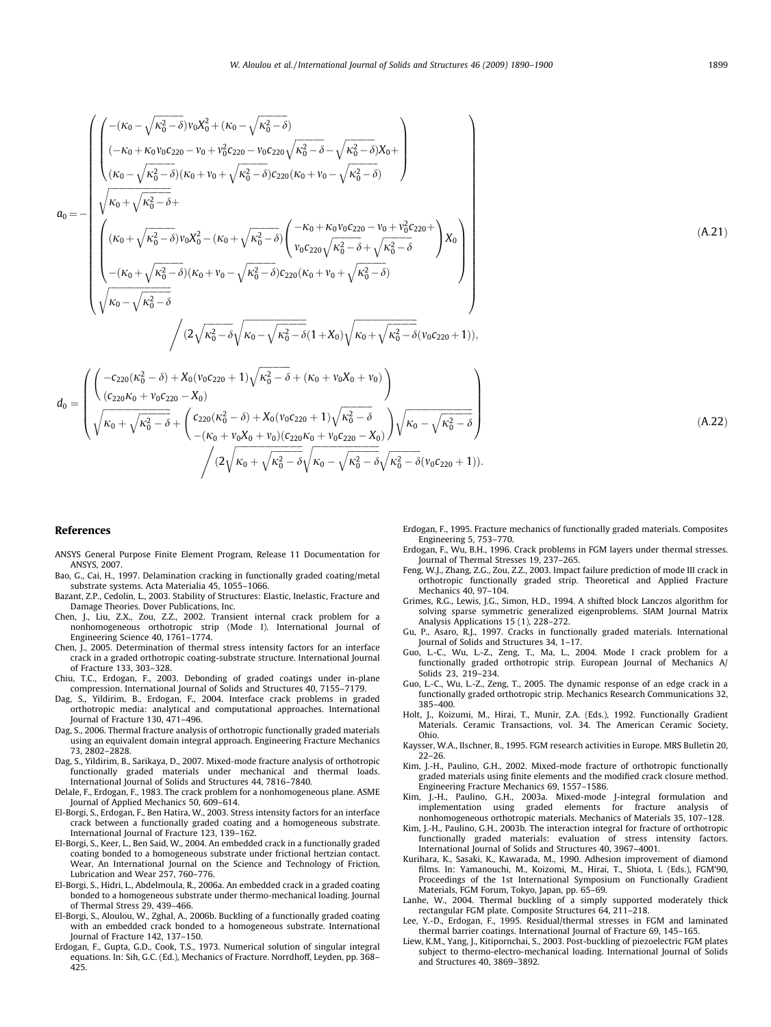<span id="page-9-0"></span>
$$
a_{0} = \begin{pmatrix} \left( \frac{-(\kappa_{0} - \sqrt{\kappa_{0}^{2} - \delta})v_{0}X_{0}^{2} + (\kappa_{0} - \sqrt{\kappa_{0}^{2} - \delta})}{(\kappa_{0} + \kappa_{0}v_{0}c_{220} - v_{0} + v_{0}^{2}c_{220} - v_{0}c_{220}\sqrt{\kappa_{0}^{2} - \delta} - \sqrt{\kappa_{0}^{2} - \delta})X_{0} + \right) \\ \frac{(\kappa_{0} - \sqrt{\kappa_{0}^{2} - \delta})(\kappa_{0} + v_{0} + \sqrt{\kappa_{0}^{2} - \delta})c_{220}(\kappa_{0} + v_{0} - \sqrt{\kappa_{0}^{2} - \delta})}{(\kappa_{0} + \sqrt{\kappa_{0}^{2} - \delta})v_{0}X_{0}^{2} - (\kappa_{0} + \sqrt{\kappa_{0}^{2} - \delta})\left(\frac{-\kappa_{0} + \kappa_{0}v_{0}c_{220} - v_{0} + v_{0}^{2}c_{220} + \epsilon}{v_{0}c_{220}\sqrt{\kappa_{0}^{2} - \delta} + \sqrt{\kappa_{0}^{2} - \delta}}\right)X_{0} \\ -\frac{(\kappa_{0} + \sqrt{\kappa_{0}^{2} - \delta})(\kappa_{0} + v_{0} - \sqrt{\kappa_{0}^{2} - \delta})c_{220}(\kappa_{0} + v_{0} + \sqrt{\kappa_{0}^{2} - \delta})}{(\kappa_{0} - \sqrt{\kappa_{0}^{2} - \delta})} \\ \frac{(\kappa_{0} - \sqrt{\kappa_{0}^{2} - \delta})}{(\kappa_{0} - \sqrt{\kappa_{0}^{2} - \delta})\sqrt{\kappa_{0} - \sqrt{\kappa_{0}^{2} - \delta}(1 + X_{0})}\sqrt{\kappa_{0} + \sqrt{\kappa_{0}^{2} - \delta}(v_{0}c_{220} + 1))}, & \text{if } \kappa_{0} = \sqrt{\frac{c_{220}(\kappa_{0}^{2} - \delta) + X_{0}(v_{0}c_{220} + 1)\sqrt{\kappa_{0}^{2} - \delta} + (\kappa_{0} + v_{0}X_{0} + v_{0})}{(\kappa_{0} + \sqrt{\kappa_{0}^{2} - \delta} + \sqrt{\kappa_{0}
$$

$$
\left/ (2\sqrt{\kappa_0+\sqrt{\kappa_0^2-\delta}}\sqrt{\kappa_0-\sqrt{\kappa_0^2-\delta}}\sqrt{\kappa_0^2-\delta}(v_0c_{220}+1)).\right.
$$

#### References

- ANSYS General Purpose Finite Element Program, Release 11 Documentation for ANSYS, 2007.
- Bao, G., Cai, H., 1997. Delamination cracking in functionally graded coating/metal substrate systems. Acta Materialia 45, 1055–1066.
- Bazant, Z.P., Cedolin, L., 2003. Stability of Structures: Elastic, Inelastic, Fracture and Damage Theories. Dover Publications, Inc.
- Chen, J., Liu, Z.X., Zou, Z.Z., 2002. Transient internal crack problem for a nonhomogeneous orthotropic strip (Mode I). International Journal of Engineering Science 40, 1761–1774.
- Chen, J., 2005. Determination of thermal stress intensity factors for an interface crack in a graded orthotropic coating-substrate structure. International Journal of Fracture 133, 303–328.
- Chiu, T.C., Erdogan, F., 2003. Debonding of graded coatings under in-plane compression. International Journal of Solids and Structures 40, 7155–7179.
- Dag, S., Yildirim, B., Erdogan, F., 2004. Interface crack problems in graded orthotropic media: analytical and computational approaches. International Journal of Fracture 130, 471–496.
- Dag, S., 2006. Thermal fracture analysis of orthotropic functionally graded materials using an equivalent domain integral approach. Engineering Fracture Mechanics 73, 2802–2828.
- Dag, S., Yildirim, B., Sarikaya, D., 2007. Mixed-mode fracture analysis of orthotropic functionally graded materials under mechanical and thermal loads. International Journal of Solids and Structures 44, 7816–7840.
- Delale, F., Erdogan, F., 1983. The crack problem for a nonhomogeneous plane. ASME Journal of Applied Mechanics 50, 609–614.
- El-Borgi, S., Erdogan, F., Ben Hatira, W., 2003. Stress intensity factors for an interface crack between a functionally graded coating and a homogeneous substrate. International Journal of Fracture 123, 139–162.
- El-Borgi, S., Keer, L., Ben Said, W., 2004. An embedded crack in a functionally graded coating bonded to a homogeneous substrate under frictional hertzian contact. Wear, An International Journal on the Science and Technology of Friction, Lubrication and Wear 257, 760–776.
- El-Borgi, S., Hidri, L., Abdelmoula, R., 2006a. An embedded crack in a graded coating bonded to a homogeneous substrate under thermo-mechanical loading. Journal of Thermal Stress 29, 439–466.
- El-Borgi, S., Aloulou, W., Zghal, A., 2006b. Buckling of a functionally graded coating with an embedded crack bonded to a homogeneous substrate. International Journal of Fracture 142, 137–150.
- Erdogan, F., Gupta, G.D., Cook, T.S., 1973. Numerical solution of singular integral equations. In: Sih, G.C. (Ed.), Mechanics of Fracture. Norrdhoff, Leyden, pp. 368– 425.

Erdogan, F., 1995. Fracture mechanics of functionally graded materials. Composites Engineering 5, 753–770.

- Erdogan, F., Wu, B.H., 1996. Crack problems in FGM layers under thermal stresses. Journal of Thermal Stresses 19, 237–265.
- Feng, W.J., Zhang, Z.G., Zou, Z.Z., 2003. Impact failure prediction of mode III crack in orthotropic functionally graded strip. Theoretical and Applied Fracture Mechanics 40, 97–104.
- Grimes, R.G., Lewis, J.G., Simon, H.D., 1994. A shifted block Lanczos algorithm for solving sparse symmetric generalized eigenproblems. SIAM Journal Matrix Analysis Applications 15 (1), 228–272.
- Gu, P., Asaro, R.J., 1997. Cracks in functionally graded materials. International Journal of Solids and Structures 34, 1–17.
- Guo, L.-C., Wu, L.-Z., Zeng, T., Ma, L., 2004. Mode I crack problem for a functionally graded orthotropic strip. European Journal of Mechanics A/ Solids 23, 219–234.
- Guo, L.-C., Wu, L.-Z., Zeng, T., 2005. The dynamic response of an edge crack in a functionally graded orthotropic strip. Mechanics Research Communications 32, 385–400.
- Holt, J., Koizumi, M., Hirai, T., Munir, Z.A. (Eds.), 1992. Functionally Gradient Materials. Ceramic Transactions, vol. 34. The American Ceramic Society, Ohio.
- Kaysser, W.A., Ilschner, B., 1995. FGM research activities in Europe. MRS Bulletin 20, 22–26.
- Kim, J.-H., Paulino, G.H., 2002. Mixed-mode fracture of orthotropic functionally graded materials using finite elements and the modified crack closure method. Engineering Fracture Mechanics 69, 1557–1586.
- Kim, J.-H., Paulino, G.H., 2003a. Mixed-mode J-integral formulation and implementation using graded elements for fracture analysis of nonhomogeneous orthotropic materials. Mechanics of Materials 35, 107–128.
- Kim, J.-H., Paulino, G.H., 2003b. The interaction integral for fracture of orthotropic functionally graded materials: evaluation of stress intensity factors. International Journal of Solids and Structures 40, 3967–4001.
- Kurihara, K., Sasaki, K., Kawarada, M., 1990. Adhesion improvement of diamond films. In: Yamanouchi, M., Koizomi, M., Hirai, T., Shiota, I. (Eds.), FGM'90, Proceedings of the 1st International Symposium on Functionally Gradient Materials, FGM Forum, Tokyo, Japan, pp. 65–69.
- Lanhe, W., 2004. Thermal buckling of a simply supported moderately thick rectangular FGM plate. Composite Structures 64, 211–218.
- Lee, Y.-D., Erdogan, F., 1995. Residual/thermal stresses in FGM and laminated thermal barrier coatings. International Journal of Fracture 69, 145–165.
- Liew, K.M., Yang, J., Kitipornchai, S., 2003. Post-buckling of piezoelectric FGM plates subject to thermo-electro-mechanical loading. International Journal of Solids and Structures 40, 3869–3892.